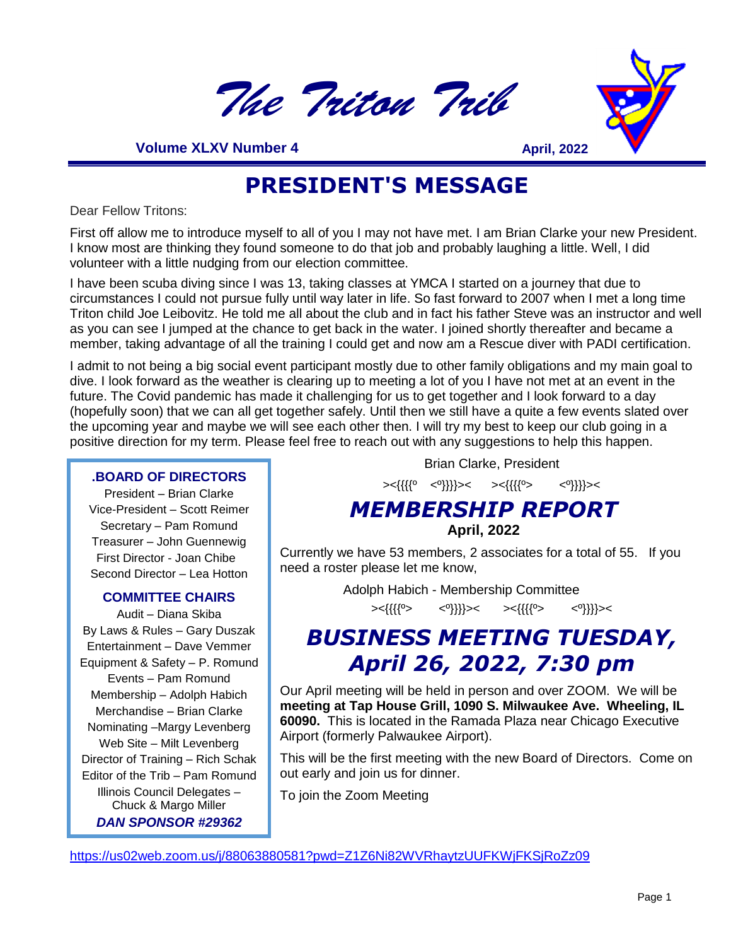



**33 Volume XLXV Number 4**<br> **DRES** 

**April, 2022**

### **PRESIDENT'S MESSAGE**

Dear Fellow Tritons:

First off allow me to introduce myself to all of you I may not have met. I am Brian Clarke your new President. I know most are thinking they found someone to do that job and probably laughing a little. Well, I did volunteer with a little nudging from our election committee.

I have been scuba diving since I was 13, taking classes at YMCA I started on a journey that due to circumstances I could not pursue fully until way later in life. So fast forward to 2007 when I met a long time Triton child Joe Leibovitz. He told me all about the club and in fact his father Steve was an instructor and well as you can see I jumped at the chance to get back in the water. I joined shortly thereafter and became a member, taking advantage of all the training I could get and now am a Rescue diver with PADI certification.

I admit to not being a big social event participant mostly due to other family obligations and my main goal to dive. I look forward as the weather is clearing up to meeting a lot of you I have not met at an event in the future. The Covid pandemic has made it challenging for us to get together and I look forward to a day (hopefully soon) that we can all get together safely. Until then we still have a quite a few events slated over the upcoming year and maybe we will see each other then. I will try my best to keep our club going in a positive direction for my term. Please feel free to reach out with any suggestions to help this happen.

#### **.BOARD OF DIRECTORS**

President – Brian Clarke Vice-President – Scott Reimer Secretary – Pam Romund Treasurer – John Guennewig First Director - Joan Chibe Second Director – Lea Hotton

#### **COMMITTEE CHAIRS**

Audit – Diana Skiba By Laws & Rules – Gary Duszak Entertainment – Dave Vemmer Equipment & Safety – P. Romund Events – Pam Romund Membership – Adolph Habich Merchandise – Brian Clarke Nominating –Margy Levenberg Web Site – Milt Levenberg Director of Training – Rich Schak Editor of the Trib – Pam Romund Illinois Council Delegates – Chuck & Margo Miller *DAN SPONSOR #29362*

Brian Clarke, President

><{{{{º <º}}}}>< ><{{{{º> <º}}}}><

#### *MEMBERSHIP REPORT* **April, 2022**

Currently we have 53 members, 2 associates for a total of 55. If you need a roster please let me know,

Adolph Habich - Membership Committee

><{{{{º> <º}}}}>< ><{{{{º> <º}}}}><

### *BUSINESS MEETING TUESDAY, April 26, 2022, 7:30 pm*

Our April meeting will be held in person and over ZOOM. We will be **meeting at Tap House Grill, 1090 S. Milwaukee Ave. Wheeling, IL 60090.** This is located in the Ramada Plaza near Chicago Executive Airport (formerly Palwaukee Airport).

This will be the first meeting with the new Board of Directors. Come on out early and join us for dinner.

To join the Zoom Meeting

<https://us02web.zoom.us/j/88063880581?pwd=Z1Z6Ni82WVRhaytzUUFKWjFKSjRoZz09>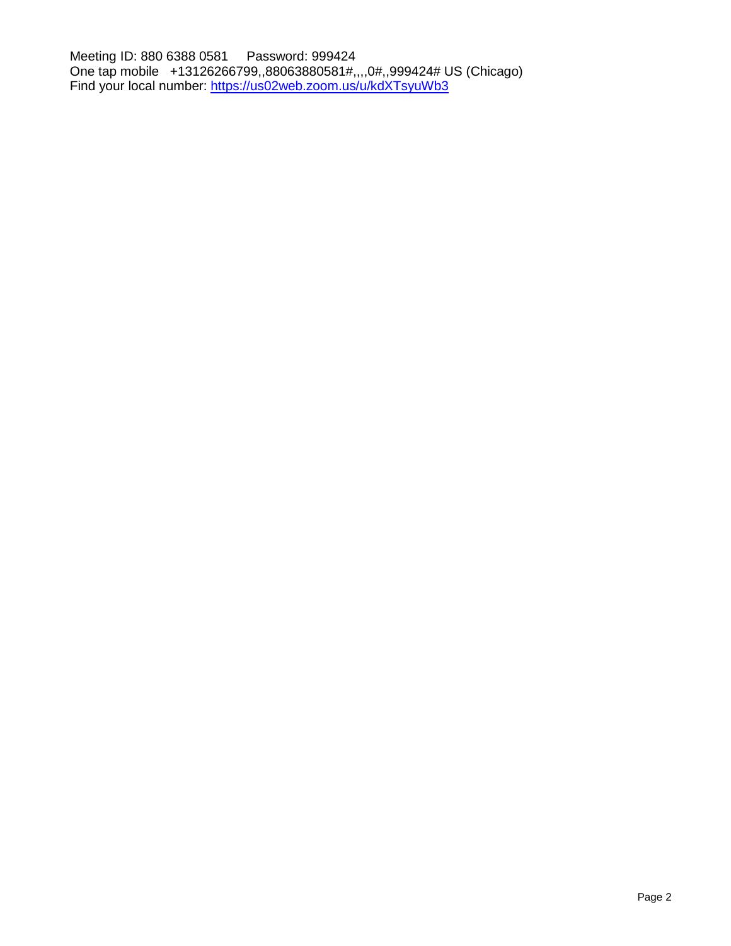Meeting ID: 880 6388 0581 Password: 999424 One tap mobile +13126266799,,88063880581#,,,,0#,,999424# US (Chicago) Find your local number:<https://us02web.zoom.us/u/kdXTsyuWb3>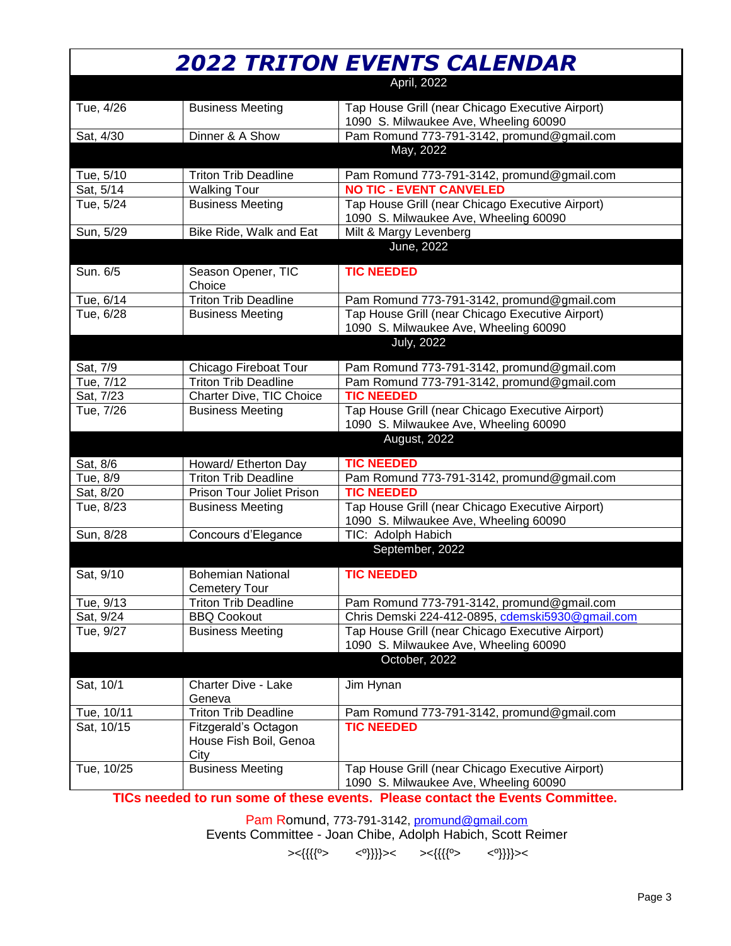| April, 2022<br>Tap House Grill (near Chicago Executive Airport)<br>Tue, 4/26<br><b>Business Meeting</b><br>1090 S. Milwaukee Ave, Wheeling 60090<br>Dinner & A Show<br>Pam Romund 773-791-3142, promund@gmail.com<br>Sat, 4/30<br>May, 2022<br>Tue, 5/10<br><b>Triton Trib Deadline</b><br>Pam Romund 773-791-3142, promund@gmail.com<br><b>NO TIC - EVENT CANVELED</b><br>Sat, 5/14<br><b>Walking Tour</b><br>Tap House Grill (near Chicago Executive Airport)<br>Tue, 5/24<br><b>Business Meeting</b><br>1090 S. Milwaukee Ave, Wheeling 60090<br>Sun, 5/29<br>Bike Ride, Walk and Eat<br>Milt & Margy Levenberg<br>June, 2022<br>Sun. 6/5<br><b>TIC NEEDED</b><br>Season Opener, TIC<br>Choice<br><b>Triton Trib Deadline</b><br>Tue, 6/14<br>Pam Romund 773-791-3142, promund@gmail.com<br>Tap House Grill (near Chicago Executive Airport)<br>Tue, 6/28<br><b>Business Meeting</b><br>1090 S. Milwaukee Ave, Wheeling 60090<br><b>July, 2022</b><br>Sat, 7/9<br>Chicago Fireboat Tour<br>Pam Romund 773-791-3142, promund@gmail.com<br><b>Triton Trib Deadline</b><br>Pam Romund 773-791-3142, promund@gmail.com<br>Tue, 7/12<br><b>TIC NEEDED</b><br>Sat, 7/23<br>Charter Dive, TIC Choice<br>Tap House Grill (near Chicago Executive Airport)<br>Tue, 7/26<br><b>Business Meeting</b><br>1090 S. Milwaukee Ave, Wheeling 60090<br>August, 2022<br>Sat, 8/6<br>Howard/ Etherton Day<br><b>TIC NEEDED</b><br><b>Triton Trib Deadline</b><br>Pam Romund 773-791-3142, promund@gmail.com<br>Tue, 8/9<br><b>TIC NEEDED</b><br>Prison Tour Joliet Prison<br>Sat, 8/20<br>Tap House Grill (near Chicago Executive Airport)<br>Tue, 8/23<br><b>Business Meeting</b><br>1090 S. Milwaukee Ave, Wheeling 60090<br>TIC: Adolph Habich<br>Sun, 8/28<br>Concours d'Elegance<br>September, 2022<br>Sat, 9/10<br><b>TIC NEEDED</b><br><b>Bohemian National</b><br><b>Cemetery Tour</b><br>Tue, 9/13<br><b>Triton Trib Deadline</b><br>Pam Romund 773-791-3142, promund@gmail.com<br>Chris Demski 224-412-0895, cdemski5930@gmail.com<br>Sat, 9/24<br><b>BBQ Cookout</b><br>Tap House Grill (near Chicago Executive Airport)<br>Tue, 9/27<br><b>Business Meeting</b><br>1090 S. Milwaukee Ave, Wheeling 60090<br>October, 2022<br>Sat, 10/1<br><b>Charter Dive - Lake</b><br>Jim Hynan<br>Geneva<br><b>Triton Trib Deadline</b><br>Tue, 10/11<br>Pam Romund 773-791-3142, promund@gmail.com<br><b>TIC NEEDED</b><br>Sat, 10/15<br>Fitzgerald's Octagon<br>House Fish Boil, Genoa<br>City<br><b>Business Meeting</b><br>Tap House Grill (near Chicago Executive Airport)<br>Tue, 10/25<br>1090 S. Milwaukee Ave, Wheeling 60090 |  | <b>2022 TRITON EVENTS CALENDAR</b> |
|-----------------------------------------------------------------------------------------------------------------------------------------------------------------------------------------------------------------------------------------------------------------------------------------------------------------------------------------------------------------------------------------------------------------------------------------------------------------------------------------------------------------------------------------------------------------------------------------------------------------------------------------------------------------------------------------------------------------------------------------------------------------------------------------------------------------------------------------------------------------------------------------------------------------------------------------------------------------------------------------------------------------------------------------------------------------------------------------------------------------------------------------------------------------------------------------------------------------------------------------------------------------------------------------------------------------------------------------------------------------------------------------------------------------------------------------------------------------------------------------------------------------------------------------------------------------------------------------------------------------------------------------------------------------------------------------------------------------------------------------------------------------------------------------------------------------------------------------------------------------------------------------------------------------------------------------------------------------------------------------------------------------------------------------------------------------------------------------------------------------------------------------------------------------------------------------------------------------------------------------------------------------------------------------------------------------------------------------------------------------------------------------------------------------------------------------------------------------------------------------------------------------------------------------------------------------------------------------------------------------------|--|------------------------------------|
|                                                                                                                                                                                                                                                                                                                                                                                                                                                                                                                                                                                                                                                                                                                                                                                                                                                                                                                                                                                                                                                                                                                                                                                                                                                                                                                                                                                                                                                                                                                                                                                                                                                                                                                                                                                                                                                                                                                                                                                                                                                                                                                                                                                                                                                                                                                                                                                                                                                                                                                                                                                                                       |  |                                    |
|                                                                                                                                                                                                                                                                                                                                                                                                                                                                                                                                                                                                                                                                                                                                                                                                                                                                                                                                                                                                                                                                                                                                                                                                                                                                                                                                                                                                                                                                                                                                                                                                                                                                                                                                                                                                                                                                                                                                                                                                                                                                                                                                                                                                                                                                                                                                                                                                                                                                                                                                                                                                                       |  |                                    |
|                                                                                                                                                                                                                                                                                                                                                                                                                                                                                                                                                                                                                                                                                                                                                                                                                                                                                                                                                                                                                                                                                                                                                                                                                                                                                                                                                                                                                                                                                                                                                                                                                                                                                                                                                                                                                                                                                                                                                                                                                                                                                                                                                                                                                                                                                                                                                                                                                                                                                                                                                                                                                       |  |                                    |
|                                                                                                                                                                                                                                                                                                                                                                                                                                                                                                                                                                                                                                                                                                                                                                                                                                                                                                                                                                                                                                                                                                                                                                                                                                                                                                                                                                                                                                                                                                                                                                                                                                                                                                                                                                                                                                                                                                                                                                                                                                                                                                                                                                                                                                                                                                                                                                                                                                                                                                                                                                                                                       |  |                                    |
|                                                                                                                                                                                                                                                                                                                                                                                                                                                                                                                                                                                                                                                                                                                                                                                                                                                                                                                                                                                                                                                                                                                                                                                                                                                                                                                                                                                                                                                                                                                                                                                                                                                                                                                                                                                                                                                                                                                                                                                                                                                                                                                                                                                                                                                                                                                                                                                                                                                                                                                                                                                                                       |  |                                    |
|                                                                                                                                                                                                                                                                                                                                                                                                                                                                                                                                                                                                                                                                                                                                                                                                                                                                                                                                                                                                                                                                                                                                                                                                                                                                                                                                                                                                                                                                                                                                                                                                                                                                                                                                                                                                                                                                                                                                                                                                                                                                                                                                                                                                                                                                                                                                                                                                                                                                                                                                                                                                                       |  |                                    |
|                                                                                                                                                                                                                                                                                                                                                                                                                                                                                                                                                                                                                                                                                                                                                                                                                                                                                                                                                                                                                                                                                                                                                                                                                                                                                                                                                                                                                                                                                                                                                                                                                                                                                                                                                                                                                                                                                                                                                                                                                                                                                                                                                                                                                                                                                                                                                                                                                                                                                                                                                                                                                       |  |                                    |
|                                                                                                                                                                                                                                                                                                                                                                                                                                                                                                                                                                                                                                                                                                                                                                                                                                                                                                                                                                                                                                                                                                                                                                                                                                                                                                                                                                                                                                                                                                                                                                                                                                                                                                                                                                                                                                                                                                                                                                                                                                                                                                                                                                                                                                                                                                                                                                                                                                                                                                                                                                                                                       |  |                                    |
|                                                                                                                                                                                                                                                                                                                                                                                                                                                                                                                                                                                                                                                                                                                                                                                                                                                                                                                                                                                                                                                                                                                                                                                                                                                                                                                                                                                                                                                                                                                                                                                                                                                                                                                                                                                                                                                                                                                                                                                                                                                                                                                                                                                                                                                                                                                                                                                                                                                                                                                                                                                                                       |  |                                    |
|                                                                                                                                                                                                                                                                                                                                                                                                                                                                                                                                                                                                                                                                                                                                                                                                                                                                                                                                                                                                                                                                                                                                                                                                                                                                                                                                                                                                                                                                                                                                                                                                                                                                                                                                                                                                                                                                                                                                                                                                                                                                                                                                                                                                                                                                                                                                                                                                                                                                                                                                                                                                                       |  |                                    |
|                                                                                                                                                                                                                                                                                                                                                                                                                                                                                                                                                                                                                                                                                                                                                                                                                                                                                                                                                                                                                                                                                                                                                                                                                                                                                                                                                                                                                                                                                                                                                                                                                                                                                                                                                                                                                                                                                                                                                                                                                                                                                                                                                                                                                                                                                                                                                                                                                                                                                                                                                                                                                       |  |                                    |
|                                                                                                                                                                                                                                                                                                                                                                                                                                                                                                                                                                                                                                                                                                                                                                                                                                                                                                                                                                                                                                                                                                                                                                                                                                                                                                                                                                                                                                                                                                                                                                                                                                                                                                                                                                                                                                                                                                                                                                                                                                                                                                                                                                                                                                                                                                                                                                                                                                                                                                                                                                                                                       |  |                                    |
|                                                                                                                                                                                                                                                                                                                                                                                                                                                                                                                                                                                                                                                                                                                                                                                                                                                                                                                                                                                                                                                                                                                                                                                                                                                                                                                                                                                                                                                                                                                                                                                                                                                                                                                                                                                                                                                                                                                                                                                                                                                                                                                                                                                                                                                                                                                                                                                                                                                                                                                                                                                                                       |  |                                    |
|                                                                                                                                                                                                                                                                                                                                                                                                                                                                                                                                                                                                                                                                                                                                                                                                                                                                                                                                                                                                                                                                                                                                                                                                                                                                                                                                                                                                                                                                                                                                                                                                                                                                                                                                                                                                                                                                                                                                                                                                                                                                                                                                                                                                                                                                                                                                                                                                                                                                                                                                                                                                                       |  |                                    |
|                                                                                                                                                                                                                                                                                                                                                                                                                                                                                                                                                                                                                                                                                                                                                                                                                                                                                                                                                                                                                                                                                                                                                                                                                                                                                                                                                                                                                                                                                                                                                                                                                                                                                                                                                                                                                                                                                                                                                                                                                                                                                                                                                                                                                                                                                                                                                                                                                                                                                                                                                                                                                       |  |                                    |
|                                                                                                                                                                                                                                                                                                                                                                                                                                                                                                                                                                                                                                                                                                                                                                                                                                                                                                                                                                                                                                                                                                                                                                                                                                                                                                                                                                                                                                                                                                                                                                                                                                                                                                                                                                                                                                                                                                                                                                                                                                                                                                                                                                                                                                                                                                                                                                                                                                                                                                                                                                                                                       |  |                                    |
|                                                                                                                                                                                                                                                                                                                                                                                                                                                                                                                                                                                                                                                                                                                                                                                                                                                                                                                                                                                                                                                                                                                                                                                                                                                                                                                                                                                                                                                                                                                                                                                                                                                                                                                                                                                                                                                                                                                                                                                                                                                                                                                                                                                                                                                                                                                                                                                                                                                                                                                                                                                                                       |  |                                    |
|                                                                                                                                                                                                                                                                                                                                                                                                                                                                                                                                                                                                                                                                                                                                                                                                                                                                                                                                                                                                                                                                                                                                                                                                                                                                                                                                                                                                                                                                                                                                                                                                                                                                                                                                                                                                                                                                                                                                                                                                                                                                                                                                                                                                                                                                                                                                                                                                                                                                                                                                                                                                                       |  |                                    |
|                                                                                                                                                                                                                                                                                                                                                                                                                                                                                                                                                                                                                                                                                                                                                                                                                                                                                                                                                                                                                                                                                                                                                                                                                                                                                                                                                                                                                                                                                                                                                                                                                                                                                                                                                                                                                                                                                                                                                                                                                                                                                                                                                                                                                                                                                                                                                                                                                                                                                                                                                                                                                       |  |                                    |
|                                                                                                                                                                                                                                                                                                                                                                                                                                                                                                                                                                                                                                                                                                                                                                                                                                                                                                                                                                                                                                                                                                                                                                                                                                                                                                                                                                                                                                                                                                                                                                                                                                                                                                                                                                                                                                                                                                                                                                                                                                                                                                                                                                                                                                                                                                                                                                                                                                                                                                                                                                                                                       |  |                                    |
|                                                                                                                                                                                                                                                                                                                                                                                                                                                                                                                                                                                                                                                                                                                                                                                                                                                                                                                                                                                                                                                                                                                                                                                                                                                                                                                                                                                                                                                                                                                                                                                                                                                                                                                                                                                                                                                                                                                                                                                                                                                                                                                                                                                                                                                                                                                                                                                                                                                                                                                                                                                                                       |  |                                    |
|                                                                                                                                                                                                                                                                                                                                                                                                                                                                                                                                                                                                                                                                                                                                                                                                                                                                                                                                                                                                                                                                                                                                                                                                                                                                                                                                                                                                                                                                                                                                                                                                                                                                                                                                                                                                                                                                                                                                                                                                                                                                                                                                                                                                                                                                                                                                                                                                                                                                                                                                                                                                                       |  |                                    |
|                                                                                                                                                                                                                                                                                                                                                                                                                                                                                                                                                                                                                                                                                                                                                                                                                                                                                                                                                                                                                                                                                                                                                                                                                                                                                                                                                                                                                                                                                                                                                                                                                                                                                                                                                                                                                                                                                                                                                                                                                                                                                                                                                                                                                                                                                                                                                                                                                                                                                                                                                                                                                       |  |                                    |
|                                                                                                                                                                                                                                                                                                                                                                                                                                                                                                                                                                                                                                                                                                                                                                                                                                                                                                                                                                                                                                                                                                                                                                                                                                                                                                                                                                                                                                                                                                                                                                                                                                                                                                                                                                                                                                                                                                                                                                                                                                                                                                                                                                                                                                                                                                                                                                                                                                                                                                                                                                                                                       |  |                                    |
|                                                                                                                                                                                                                                                                                                                                                                                                                                                                                                                                                                                                                                                                                                                                                                                                                                                                                                                                                                                                                                                                                                                                                                                                                                                                                                                                                                                                                                                                                                                                                                                                                                                                                                                                                                                                                                                                                                                                                                                                                                                                                                                                                                                                                                                                                                                                                                                                                                                                                                                                                                                                                       |  |                                    |
|                                                                                                                                                                                                                                                                                                                                                                                                                                                                                                                                                                                                                                                                                                                                                                                                                                                                                                                                                                                                                                                                                                                                                                                                                                                                                                                                                                                                                                                                                                                                                                                                                                                                                                                                                                                                                                                                                                                                                                                                                                                                                                                                                                                                                                                                                                                                                                                                                                                                                                                                                                                                                       |  |                                    |
|                                                                                                                                                                                                                                                                                                                                                                                                                                                                                                                                                                                                                                                                                                                                                                                                                                                                                                                                                                                                                                                                                                                                                                                                                                                                                                                                                                                                                                                                                                                                                                                                                                                                                                                                                                                                                                                                                                                                                                                                                                                                                                                                                                                                                                                                                                                                                                                                                                                                                                                                                                                                                       |  |                                    |
|                                                                                                                                                                                                                                                                                                                                                                                                                                                                                                                                                                                                                                                                                                                                                                                                                                                                                                                                                                                                                                                                                                                                                                                                                                                                                                                                                                                                                                                                                                                                                                                                                                                                                                                                                                                                                                                                                                                                                                                                                                                                                                                                                                                                                                                                                                                                                                                                                                                                                                                                                                                                                       |  |                                    |
|                                                                                                                                                                                                                                                                                                                                                                                                                                                                                                                                                                                                                                                                                                                                                                                                                                                                                                                                                                                                                                                                                                                                                                                                                                                                                                                                                                                                                                                                                                                                                                                                                                                                                                                                                                                                                                                                                                                                                                                                                                                                                                                                                                                                                                                                                                                                                                                                                                                                                                                                                                                                                       |  |                                    |
|                                                                                                                                                                                                                                                                                                                                                                                                                                                                                                                                                                                                                                                                                                                                                                                                                                                                                                                                                                                                                                                                                                                                                                                                                                                                                                                                                                                                                                                                                                                                                                                                                                                                                                                                                                                                                                                                                                                                                                                                                                                                                                                                                                                                                                                                                                                                                                                                                                                                                                                                                                                                                       |  |                                    |
|                                                                                                                                                                                                                                                                                                                                                                                                                                                                                                                                                                                                                                                                                                                                                                                                                                                                                                                                                                                                                                                                                                                                                                                                                                                                                                                                                                                                                                                                                                                                                                                                                                                                                                                                                                                                                                                                                                                                                                                                                                                                                                                                                                                                                                                                                                                                                                                                                                                                                                                                                                                                                       |  |                                    |
|                                                                                                                                                                                                                                                                                                                                                                                                                                                                                                                                                                                                                                                                                                                                                                                                                                                                                                                                                                                                                                                                                                                                                                                                                                                                                                                                                                                                                                                                                                                                                                                                                                                                                                                                                                                                                                                                                                                                                                                                                                                                                                                                                                                                                                                                                                                                                                                                                                                                                                                                                                                                                       |  |                                    |
|                                                                                                                                                                                                                                                                                                                                                                                                                                                                                                                                                                                                                                                                                                                                                                                                                                                                                                                                                                                                                                                                                                                                                                                                                                                                                                                                                                                                                                                                                                                                                                                                                                                                                                                                                                                                                                                                                                                                                                                                                                                                                                                                                                                                                                                                                                                                                                                                                                                                                                                                                                                                                       |  |                                    |
|                                                                                                                                                                                                                                                                                                                                                                                                                                                                                                                                                                                                                                                                                                                                                                                                                                                                                                                                                                                                                                                                                                                                                                                                                                                                                                                                                                                                                                                                                                                                                                                                                                                                                                                                                                                                                                                                                                                                                                                                                                                                                                                                                                                                                                                                                                                                                                                                                                                                                                                                                                                                                       |  |                                    |
|                                                                                                                                                                                                                                                                                                                                                                                                                                                                                                                                                                                                                                                                                                                                                                                                                                                                                                                                                                                                                                                                                                                                                                                                                                                                                                                                                                                                                                                                                                                                                                                                                                                                                                                                                                                                                                                                                                                                                                                                                                                                                                                                                                                                                                                                                                                                                                                                                                                                                                                                                                                                                       |  |                                    |
|                                                                                                                                                                                                                                                                                                                                                                                                                                                                                                                                                                                                                                                                                                                                                                                                                                                                                                                                                                                                                                                                                                                                                                                                                                                                                                                                                                                                                                                                                                                                                                                                                                                                                                                                                                                                                                                                                                                                                                                                                                                                                                                                                                                                                                                                                                                                                                                                                                                                                                                                                                                                                       |  |                                    |
|                                                                                                                                                                                                                                                                                                                                                                                                                                                                                                                                                                                                                                                                                                                                                                                                                                                                                                                                                                                                                                                                                                                                                                                                                                                                                                                                                                                                                                                                                                                                                                                                                                                                                                                                                                                                                                                                                                                                                                                                                                                                                                                                                                                                                                                                                                                                                                                                                                                                                                                                                                                                                       |  |                                    |
|                                                                                                                                                                                                                                                                                                                                                                                                                                                                                                                                                                                                                                                                                                                                                                                                                                                                                                                                                                                                                                                                                                                                                                                                                                                                                                                                                                                                                                                                                                                                                                                                                                                                                                                                                                                                                                                                                                                                                                                                                                                                                                                                                                                                                                                                                                                                                                                                                                                                                                                                                                                                                       |  |                                    |
|                                                                                                                                                                                                                                                                                                                                                                                                                                                                                                                                                                                                                                                                                                                                                                                                                                                                                                                                                                                                                                                                                                                                                                                                                                                                                                                                                                                                                                                                                                                                                                                                                                                                                                                                                                                                                                                                                                                                                                                                                                                                                                                                                                                                                                                                                                                                                                                                                                                                                                                                                                                                                       |  |                                    |
|                                                                                                                                                                                                                                                                                                                                                                                                                                                                                                                                                                                                                                                                                                                                                                                                                                                                                                                                                                                                                                                                                                                                                                                                                                                                                                                                                                                                                                                                                                                                                                                                                                                                                                                                                                                                                                                                                                                                                                                                                                                                                                                                                                                                                                                                                                                                                                                                                                                                                                                                                                                                                       |  |                                    |

**TICs needed to run some of these events. Please contact the Events Committee.**

Pam Romund, 773-791-3142, [promund@gmail.com](mailto:promund@gmail.com) Events Committee - Joan Chibe, Adolph Habich, Scott Reimer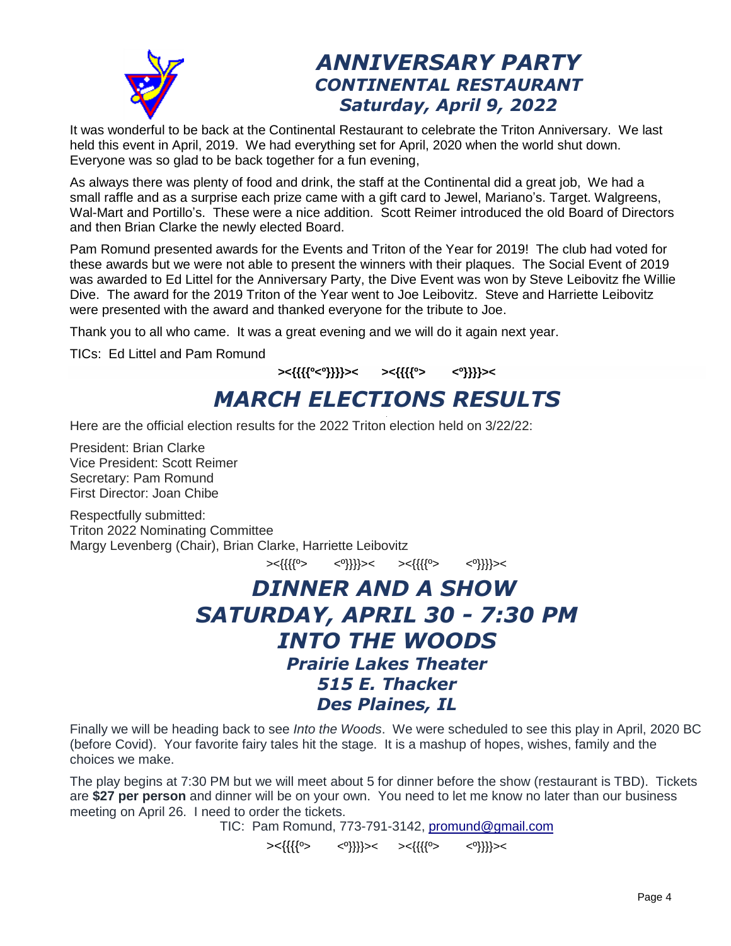

### *ANNIVERSARY PARTY CONTINENTAL RESTAURANT Saturday, April 9, 2022*

It was wonderful to be back at the Continental Restaurant to celebrate the Triton Anniversary. We last held this event in April, 2019. We had everything set for April, 2020 when the world shut down. Everyone was so glad to be back together for a fun evening,

As always there was plenty of food and drink, the staff at the Continental did a great job, We had a small raffle and as a surprise each prize came with a gift card to Jewel, Mariano's. Target. Walgreens, Wal-Mart and Portillo's. These were a nice addition. Scott Reimer introduced the old Board of Directors and then Brian Clarke the newly elected Board.

Pam Romund presented awards for the Events and Triton of the Year for 2019! The club had voted for these awards but we were not able to present the winners with their plaques. The Social Event of 2019 was awarded to Ed Littel for the Anniversary Party, the Dive Event was won by Steve Leibovitz fhe Willie Dive. The award for the 2019 Triton of the Year went to Joe Leibovitz. Steve and Harriette Leibovitz were presented with the award and thanked everyone for the tribute to Joe.

Thank you to all who came. It was a great evening and we will do it again next year.

TICs: Ed Littel and Pam Romund

#### **><{{{{º<º}}}}>< ><{{{{º> <º}}}}><** *MARCH ELECTIONS RESULTS* .

Here are the official election results for the 2022 Triton election held on 3/22/22:

President: Brian Clarke Vice President: Scott Reimer Secretary: Pam Romund First Director: Joan Chibe

Respectfully submitted: Triton 2022 Nominating Committee Margy Levenberg (Chair), Brian Clarke, Harriette Leibovitz

><{{{{º> <º}}}}>< ><{{{{º> <º}}}}><

### *DINNER AND A SHOW SATURDAY, APRIL 30 - 7:30 PM INTO THE WOODS Prairie Lakes Theater 515 E. Thacker Des Plaines, IL*

Finally we will be heading back to see *Into the Woods*. We were scheduled to see this play in April, 2020 BC (before Covid). Your favorite fairy tales hit the stage. It is a mashup of hopes, wishes, family and the choices we make.

The play begins at 7:30 PM but we will meet about 5 for dinner before the show (restaurant is TBD). Tickets are **\$27 per person** and dinner will be on your own. You need to let me know no later than our business meeting on April 26. I need to order the tickets.

TIC: Pam Romund, 773-791-3142, [promund@gmail.com](mailto:promund@gmail.com)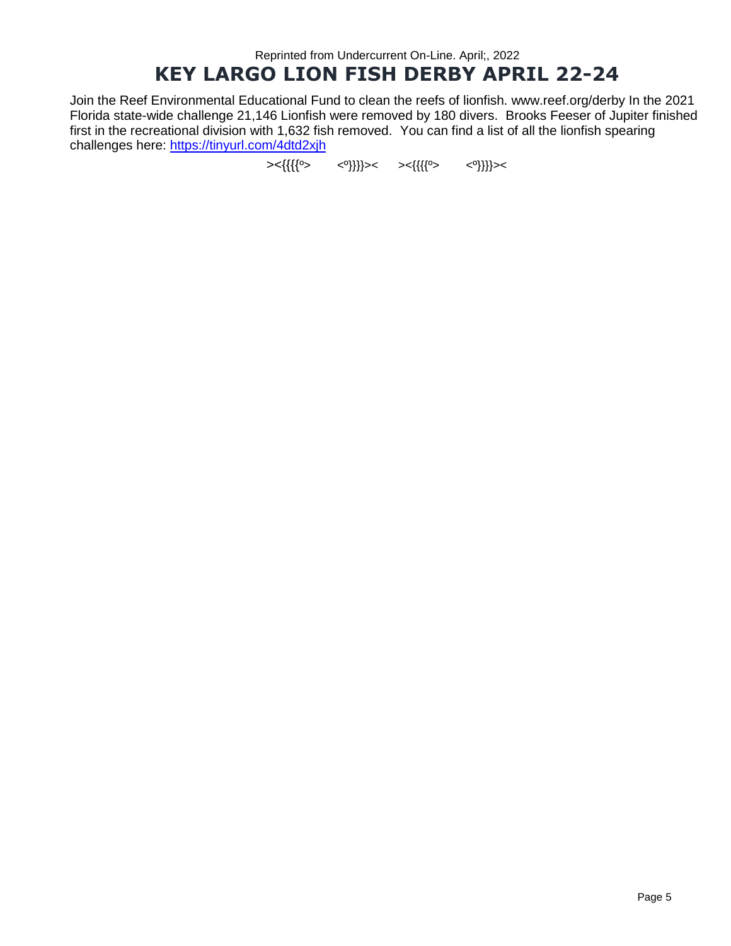#### Reprinted from Undercurrent On-Line. April;, 2022 **KEY LARGO LION FISH DERBY APRIL 22-24**

Join the Reef Environmental Educational Fund to clean the reefs of lionfish. www.reef.org/derby In the 2021 Florida state-wide challenge 21,146 Lionfish were removed by 180 divers. Brooks Feeser of Jupiter finished first in the recreational division with 1,632 fish removed. You can find a list of all the lionfish spearing challenges here:<https://tinyurl.com/4dtd2xjh>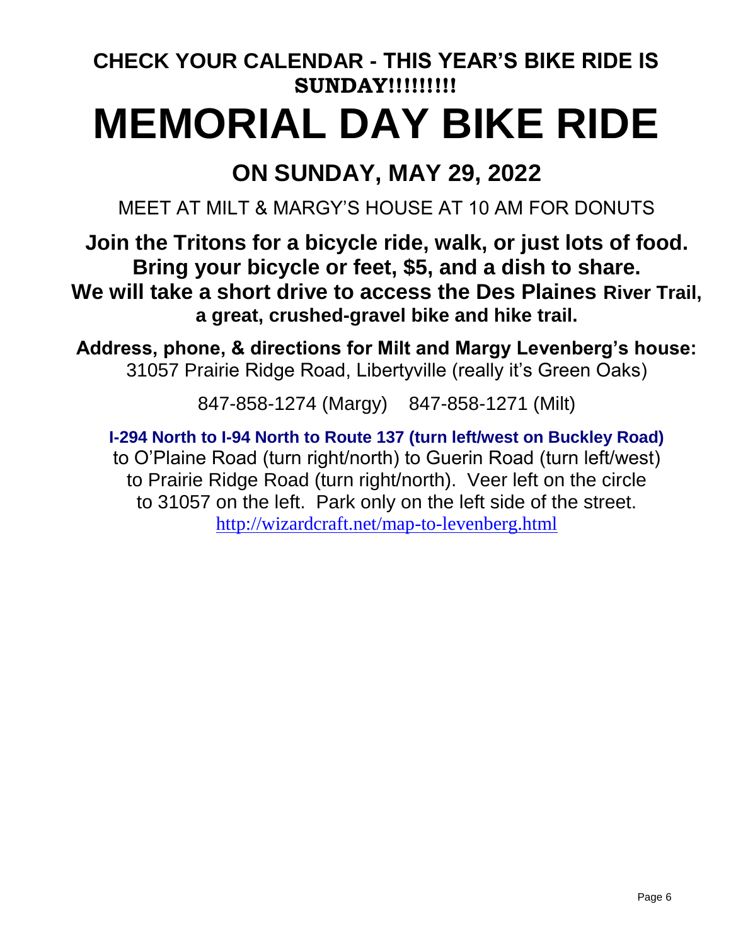# **CHECK YOUR CALENDAR - THIS YEAR'S BIKE RIDE IS SUNDAY!!!!!!!!! MEMORIAL DAY BIKE RIDE**

# **ON SUNDAY, MAY 29, 2022**

MEET AT MILT & MARGY'S HOUSE AT 10 AM FOR DONUTS

**Join the Tritons for a bicycle ride, walk, or just lots of food. Bring your bicycle or feet, \$5, and a dish to share. We will take a short drive to access the Des Plaines River Trail, a great, crushed-gravel bike and hike trail.** 

**Address, phone, & directions for Milt and Margy Levenberg's house:** 31057 Prairie Ridge Road, Libertyville (really it's Green Oaks)

847-858-1274 (Margy) 847-858-1271 (Milt)

**I-294 North to I-94 North to Route 137 (turn left/west on Buckley Road)**  to O'Plaine Road (turn right/north) to Guerin Road (turn left/west) to Prairie Ridge Road (turn right/north). Veer left on the circle to 31057 on the left. Park only on the left side of the street. <http://wizardcraft.net/map-to-levenberg.html>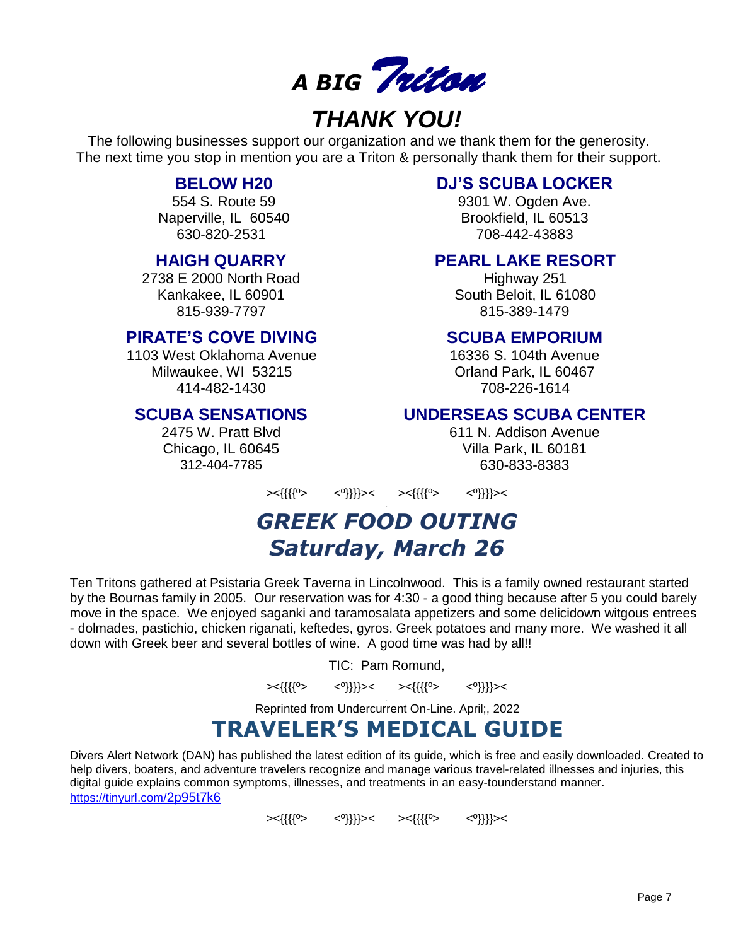

# *THANK YOU!*

The following businesses support our organization and we thank them for the generosity. The next time you stop in mention you are a Triton & personally thank them for their support.

#### **BELOW H20**

554 S. Route 59 Naperville, IL 60540 630-820-2531

#### **HAIGH QUARRY**

2738 E 2000 North Road Kankakee, IL 60901 815-939-7797

#### **PIRATE'S COVE DIVING**

1103 West Oklahoma Avenue Milwaukee, WI 53215 414-482-1430

#### **SCUBA SENSATIONS**

2475 W. Pratt Blvd Chicago, IL 60645 312-404-7785

#### **DJ'S SCUBA LOCKER**

9301 W. Ogden Ave. Brookfield, IL 60513 708-442-43883

#### **PEARL LAKE RESORT**

Highway 251 South Beloit, IL 61080 815-389-1479

#### **SCUBA EMPORIUM**

16336 S. 104th Avenue Orland Park, IL 60467 708-226-1614

#### **UNDERSEAS SCUBA CENTER**

611 N. Addison Avenue Villa Park, IL 60181 630-833-8383

><{{{{º> <º}}}}>< ><{{{{º> <º}}}}><

### *GREEK FOOD OUTING Saturday, March 26*

Ten Tritons gathered at Psistaria Greek Taverna in Lincolnwood. This is a family owned restaurant started by the Bournas family in 2005. Our reservation was for 4:30 - a good thing because after 5 you could barely move in the space. We enjoyed saganki and taramosalata appetizers and some delicidown witgous entrees - dolmades, pastichio, chicken riganati, keftedes, gyros. Greek potatoes and many more. We washed it all down with Greek beer and several bottles of wine. A good time was had by all!!

TIC: Pam Romund,

><{{{{<sup>0</sup>> <<sup>0</sup>}}}}>< ><{{{{<sup>0</sup>> <<sup>0</sup>}}}}><

Reprinted from Undercurrent On-Line. April;, 2022

### **TRAVELER'S MEDICAL GUIDE**

Divers Alert Network (DAN) has published the latest edition of its guide, which is free and easily downloaded. Created to help divers, boaters, and adventure travelers recognize and manage various travel-related illnesses and injuries, this digital guide explains common symptoms, illnesses, and treatments in an easy-tounderstand manner. [https://tinyurl.com/](https://tinyurl.com/2p95t7k6)2p95t7k6